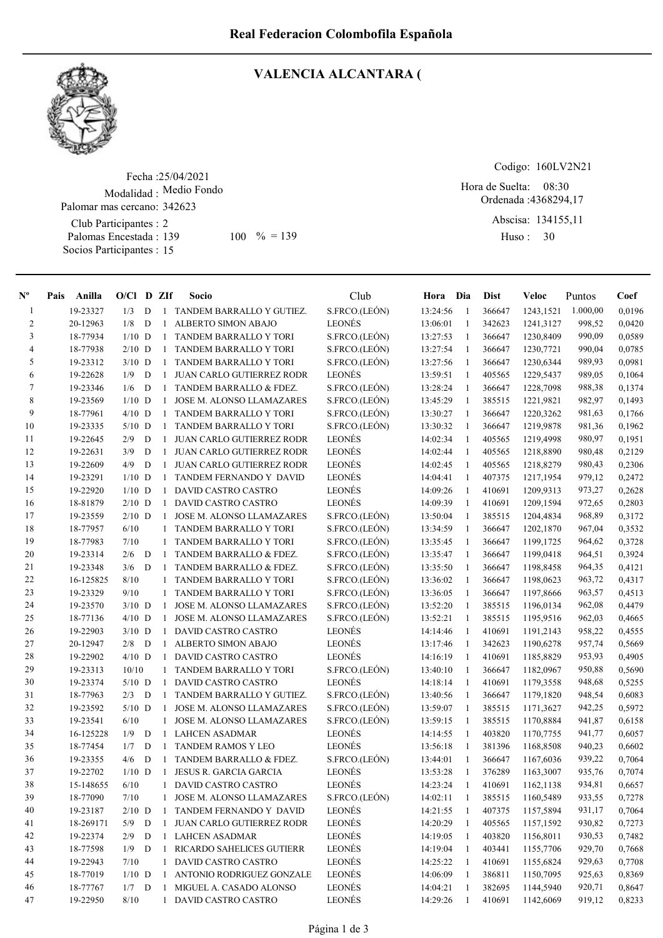

## VALENCIA ALCANTARA (

Fecha : 25/04/2021 Modalidad : Medio Fondo Club Participantes : 2 Palomas Encestada : Socios Participantes : 15 Palomar mas cercano: 342623 139 100 % = 139 Huso: 30

Codigo: 160LV2N21

Ordenada : 4368294,17 Hora de Suelta: 08:30

> Abscisa: 134155,11 Huso: 30

| $\mathbf{N}^{\mathbf{o}}$ | Pais | Anilla         | $O/CI$ D ZIf |   |              | Socio                            | Club          | Hora Dia   |              | <b>Dist</b> | Veloc     | Puntos   | Coef   |
|---------------------------|------|----------------|--------------|---|--------------|----------------------------------|---------------|------------|--------------|-------------|-----------|----------|--------|
| -1                        |      | 19-23327       | 1/3          | D | 1            | TANDEM BARRALLO Y GUTIEZ.        | S.FRCO.(LEÓN) | 13:24:56   | -1           | 366647      | 1243,1521 | 1.000,00 | 0,0196 |
| 2                         |      | 20-12963       | 1/8          | D | $\mathbf{1}$ | ALBERTO SIMON ABAJO              | <b>LEONÉS</b> | 13:06:01   | $\mathbf{1}$ | 342623      | 1241,3127 | 998,52   | 0,0420 |
| 3                         |      | 18-77934       | $1/10$ D     |   | 1            | TANDEM BARRALLO Y TORI           | S.FRCO.(LEÓN) | 13:27:53   | 1            | 366647      | 1230,8409 | 990,09   | 0,0589 |
| 4                         |      | 18-77938       | $2/10$ D     |   | 1            | TANDEM BARRALLO Y TORI           | S.FRCO.(LEÓN) | 13:27:54   | 1            | 366647      | 1230,7721 | 990,04   | 0,0785 |
| 5                         |      | 19-23312       | $3/10$ D     |   | 1            | TANDEM BARRALLO Y TORI           | S.FRCO.(LEÓN) | 13:27:56   | 1            | 366647      | 1230,6344 | 989,93   | 0,0981 |
| 6                         |      | 19-22628       | 1/9          | D | $\mathbf{1}$ | <b>JUAN CARLO GUTIERREZ RODR</b> | LEONÉS        | 13:59:51   | 1            | 405565      | 1229,5437 | 989,05   | 0,1064 |
| 7                         |      | 19-23346       | 1/6          | D |              | 1 TANDEM BARRALLO & FDEZ.        | S.FRCO.(LEÓN) | 13:28:24   | 1            | 366647      | 1228,7098 | 988,38   | 0,1374 |
| 8                         |      | 19-23569       | $1/10$ D     |   | $\mathbf{1}$ | JOSE M. ALONSO LLAMAZARES        | S.FRCO.(LEÓN) | 13:45:29   | 1            | 385515      | 1221,9821 | 982,97   | 0,1493 |
| 9                         |      | 18-77961       | $4/10$ D     |   |              | 1 TANDEM BARRALLO Y TORI         | S.FRCO.(LEÓN) | 13:30:27   | 1            | 366647      | 1220,3262 | 981,63   | 0,1766 |
| 10                        |      | 19-23335       | $5/10$ D     |   | $\mathbf{1}$ | TANDEM BARRALLO Y TORI           | S.FRCO.(LEÓN) | 13:30:32   | 1            | 366647      | 1219,9878 | 981,36   | 0,1962 |
| 11                        |      | 19-22645       | 2/9          | D | $\mathbf{1}$ | <b>JUAN CARLO GUTIERREZ RODR</b> | LEONÉS        | 14:02:34   | 1            | 405565      | 1219,4998 | 980,97   | 0,1951 |
| 12                        |      | 19-22631       | 3/9          | D | $\mathbf{1}$ | JUAN CARLO GUTIERREZ RODR        | LEONÉS        | 14:02:44   | -1           | 405565      | 1218,8890 | 980,48   | 0,2129 |
| 13                        |      | 19-22609       | 4/9          | D | $\mathbf{1}$ | JUAN CARLO GUTIERREZ RODR        | LEONÉS        | 14:02:45   | -1           | 405565      | 1218,8279 | 980,43   | 0,2306 |
| 14                        |      | 19-23291       | $1/10$ D     |   |              | 1 TANDEM FERNANDO Y DAVID        | LEONÉS        | 14:04:41   | 1            | 407375      | 1217,1954 | 979,12   | 0,2472 |
| 15                        |      | 19-22920       | $1/10$ D     |   | $\mathbf{1}$ | DAVID CASTRO CASTRO              | LEONÉS        | 14:09:26   | -1           | 410691      | 1209,9313 | 973,27   | 0,2628 |
| 16                        |      | 18-81879       | $2/10$ D     |   | $\mathbf{1}$ | DAVID CASTRO CASTRO              | LEONÉS        | 14:09:39   | 1            | 410691      | 1209,1594 | 972,65   | 0,2803 |
| 17                        |      | 19-23559       | $2/10$ D     |   | $\mathbf{1}$ | JOSE M. ALONSO LLAMAZARES        | S.FRCO.(LEÓN) | 13:50:04   | 1            | 385515      | 1204,4834 | 968,89   | 0,3172 |
| 18                        |      | 18-77957       | 6/10         |   | 1            | <b>TANDEM BARRALLO Y TORI</b>    | S.FRCO.(LEÓN) | 13:34:59   | 1            | 366647      | 1202,1870 | 967,04   | 0,3532 |
| 19                        |      | 18-77983       | 7/10         |   | 1            | <b>TANDEM BARRALLO Y TORI</b>    | S.FRCO.(LEÓN) | 13:35:45   | 1            | 366647      | 1199,1725 | 964,62   | 0,3728 |
| 20                        |      | 19-23314       | 2/6          | D | $\mathbf{1}$ | TANDEM BARRALLO & FDEZ.          | S.FRCO.(LEÓN) | 13:35:47   | 1            | 366647      | 1199,0418 | 964,51   | 0,3924 |
| 21                        |      | 19-23348       | 3/6          | D | 1            | TANDEM BARRALLO & FDEZ.          | S.FRCO.(LEÓN) | 13:35:50   | 1            | 366647      | 1198,8458 | 964,35   | 0,4121 |
| 22                        |      | 16-125825      | 8/10         |   |              | TANDEM BARRALLO Y TORI           | S.FRCO.(LEÓN) | 13:36:02   | 1            | 366647      | 1198,0623 | 963,72   | 0,4317 |
| 23                        |      | 19-23329       | 9/10         |   | 1            | <b>TANDEM BARRALLO Y TORI</b>    | S.FRCO.(LEÓN) | 13:36:05   | 1            | 366647      | 1197,8666 | 963,57   | 0,4513 |
| 24                        |      | 19-23570       | $3/10$ D     |   | 1            | <b>JOSE M. ALONSO LLAMAZARES</b> | S.FRCO.(LEÓN) | 13:52:20   | -1           | 385515      | 1196,0134 | 962,08   | 0,4479 |
| 25                        |      | 18-77136       | $4/10$ D     |   | 1            | JOSE M. ALONSO LLAMAZARES        | S.FRCO.(LEÓN) | 13:52:21   | -1           | 385515      | 1195,9516 | 962,03   | 0,4665 |
| 26                        |      | 19-22903       | $3/10$ D     |   | $\mathbf{1}$ | DAVID CASTRO CASTRO              | LEONÉS        | 14:14:46   | -1           | 410691      | 1191,2143 | 958,22   | 0,4555 |
| 27                        |      | 20-12947       | 2/8          | D | $\mathbf{1}$ | ALBERTO SIMON ABAJO              | LEONÉS        | 13:17:46   | -1           | 342623      | 1190,6278 | 957,74   | 0,5669 |
| 28                        |      | 19-22902       | $4/10$ D     |   | $\mathbf{1}$ | DAVID CASTRO CASTRO              | LEONÉS        | 14:16:19   | 1            | 410691      | 1185,8829 | 953,93   | 0,4905 |
| 29                        |      | 19-23313       | 10/10        |   |              | 1 TANDEM BARRALLO Y TORI         | S.FRCO.(LEÓN) | 13:40:10   | 1            | 366647      | 1182,0967 | 950,88   | 0,5690 |
| 30                        |      | 19-23374       | $5/10$ D     |   | $\mathbf{1}$ | DAVID CASTRO CASTRO              | LEONÉS        | 14:18:14   | 1            | 410691      | 1179,3558 | 948,68   | 0,5255 |
| 31                        |      | 18-77963       | $2/3$ D      |   |              | 1 TANDEM BARRALLO Y GUTIEZ.      | S.FRCO.(LEÓN) | 13:40:56   | -1           | 366647      | 1179,1820 | 948,54   | 0,6083 |
| 32                        |      | 19-23592       | $5/10$ D     |   | $\mathbf{1}$ | JOSE M. ALONSO LLAMAZARES        | S.FRCO.(LEÓN) | 13:59:07   | 1            | 385515      | 1171,3627 | 942,25   | 0,5972 |
| 33                        |      | 19-23541       | 6/10         |   | 1            | JOSE M. ALONSO LLAMAZARES        | S.FRCO.(LEÓN) | 13:59:15   | -1           | 385515      | 1170,8884 | 941,87   | 0,6158 |
| 34                        |      | 16-125228      | 1/9          | D | 1            | <b>LAHCEN ASADMAR</b>            | LEONÉS        | 14:14:55   | 1            | 403820      | 1170,7755 | 941,77   | 0,6057 |
| 35                        |      | 18-77454       | 1/7          | D | 1            | TANDEM RAMOS Y LEO               | LEONÉS        | 13:56:18   | 1            | 381396      | 1168,8508 | 940,23   | 0,6602 |
| 36                        |      | 19-23355       | 4/6          | D | $\mathbf{1}$ | TANDEM BARRALLO & FDEZ.          | S.FRCO.(LEÓN) | 13:44:01   | 1            | 366647      | 1167,6036 | 939,22   | 0,7064 |
| 37                        |      | 19-22702       | $1/10$ D     |   |              | 1 JESUS R. GARCIA GARCIA         | <b>LEONÉS</b> | 13:53:28   | -1           | 376289      | 1163,3007 | 935,76   | 0,7074 |
| 38                        |      | 15-148655 6/10 |              |   |              | 1 DAVID CASTRO CASTRO            | LEONÉS        | 14:23:24 1 |              | 410691      | 1162,1138 | 934,81   | 0,6657 |
| 39                        |      | 18-77090       | 7/10         |   |              | 1 JOSE M. ALONSO LLAMAZARES      | S.FRCO.(LEÓN) | 14:02:11   | $\mathbf{1}$ | 385515      | 1160,5489 | 933,55   | 0,7278 |
| 40                        |      | 19-23187       | $2/10$ D     |   | 1            | TANDEM FERNANDO Y DAVID          | LEONÉS        | 14:21:55   | 1            | 407375      | 1157,5894 | 931,17   | 0,7064 |
| 41                        |      | 18-269171      | $5/9$ D      |   |              | 1 JUAN CARLO GUTIERREZ RODR      | LEONÉS        | 14:20:29   | 1            | 405565      | 1157,1592 | 930,82   | 0,7273 |
| 42                        |      | 19-22374       | $2/9$ D      |   |              | 1 LAHCEN ASADMAR                 | LEONÉS        | 14:19:05   | 1            | 403820      | 1156,8011 | 930,53   | 0,7482 |
| 43                        |      | 18-77598       | $1/9$ D      |   |              | 1 RICARDO SAHELICES GUTIERR      | LEONÉS        | 14:19:04   | 1            | 403441      | 1155,7706 | 929,70   | 0,7668 |
| 44                        |      | 19-22943       | 7/10         |   |              | 1 DAVID CASTRO CASTRO            | LEONÉS        | 14:25:22   | 1            | 410691      | 1155,6824 | 929,63   | 0,7708 |
| 45                        |      | 18-77019       | $1/10$ D     |   |              | 1 ANTONIO RODRIGUEZ GONZALE      | LEONÉS        | 14:06:09   | 1            | 386811      | 1150,7095 | 925,63   | 0,8369 |
| 46                        |      | 18-77767       | $1/7$ D      |   | 1            | MIGUEL A. CASADO ALONSO          | LEONÉS        | 14:04:21   | 1            | 382695      | 1144,5940 | 920,71   | 0,8647 |
| 47                        |      | 19-22950       | 8/10         |   |              | 1 DAVID CASTRO CASTRO            | LEONÉS        | 14:29:26   | 1            | 410691      | 1142,6069 | 919,12   | 0,8233 |
|                           |      |                |              |   |              |                                  |               |            |              |             |           |          |        |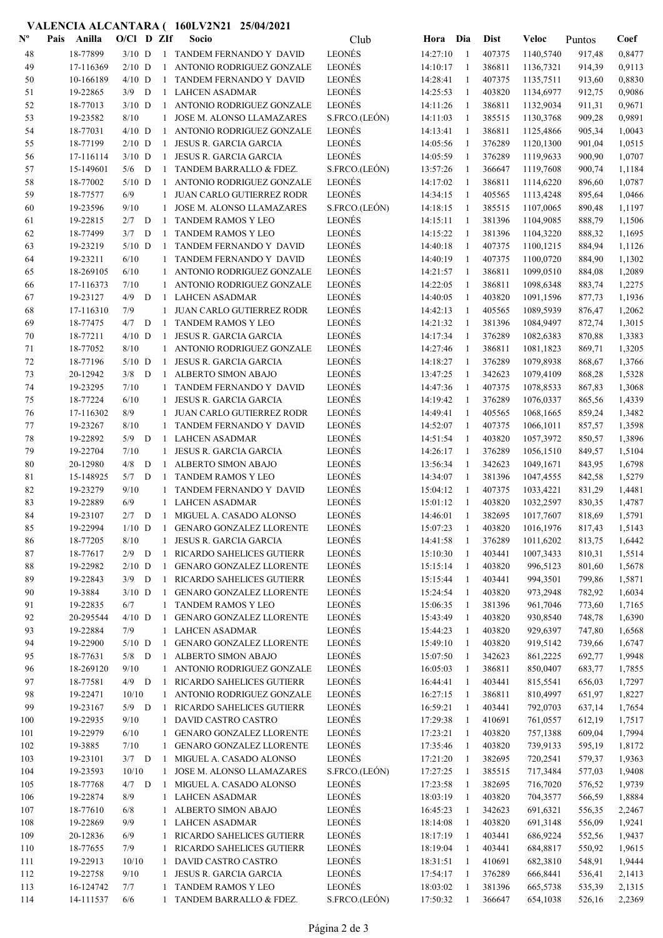## VALENCIA ALCANTARA ( 160LV2N21 25/04/2021

| $\mathbf{N}^{\mathbf{o}}$ | Anilla<br>Pais | $O/C1$ D ZIf |   |              | Socio                            | Club          | Hora     | Dia          | <b>Dist</b> | Veloc     | Puntos | Coef   |
|---------------------------|----------------|--------------|---|--------------|----------------------------------|---------------|----------|--------------|-------------|-----------|--------|--------|
| 48                        | 18-77899       | $3/10$ D     |   |              | 1 TANDEM FERNANDO Y DAVID        | LEONÉS        | 14:27:10 | -1           | 407375      | 1140,5740 | 917,48 | 0,8477 |
| 49                        | 17-116369      | $2/10$ D     |   | $\mathbf{1}$ | ANTONIO RODRIGUEZ GONZALE        | <b>LEONÉS</b> | 14:10:17 | -1           | 386811      | 1136,7321 | 914,39 | 0,9113 |
| 50                        | 10-166189      | $4/10$ D     |   | $\mathbf{1}$ | TANDEM FERNANDO Y DAVID          | LEONÉS        | 14:28:41 | 1            | 407375      | 1135,7511 | 913,60 | 0,8830 |
| 51                        | 19-22865       | $3/9$ D      |   | $\mathbf{1}$ | <b>LAHCEN ASADMAR</b>            | <b>LEONÉS</b> | 14:25:53 | -1           | 403820      | 1134,6977 | 912,75 | 0,9086 |
| 52                        | 18-77013       | $3/10$ D     |   | $\mathbf{1}$ | ANTONIO RODRIGUEZ GONZALE        | LEONÉS        | 14:11:26 | -1           | 386811      | 1132,9034 | 911,31 | 0,9671 |
| 53                        | 19-23582       | 8/10         |   | $\mathbf{1}$ | JOSE M. ALONSO LLAMAZARES        | S.FRCO.(LEÓN) | 14:11:03 | -1           | 385515      | 1130,3768 | 909,28 | 0,9891 |
| 54                        | 18-77031       | $4/10$ D     |   | $\mathbf{1}$ | ANTONIO RODRIGUEZ GONZALE        | LEONÉS        | 14:13:41 | 1            | 386811      | 1125,4866 | 905,34 | 1,0043 |
| 55                        | 18-77199       | $2/10$ D     |   | $\mathbf{1}$ | <b>JESUS R. GARCIA GARCIA</b>    | <b>LEONÉS</b> | 14:05:56 | $\mathbf{1}$ | 376289      | 1120,1300 | 901,04 | 1,0515 |
| 56                        | 17-116114      | $3/10$ D     |   | $\mathbf{1}$ | <b>JESUS R. GARCIA GARCIA</b>    | LEONÉS        | 14:05:59 | -1           | 376289      | 1119,9633 | 900,90 | 1,0707 |
| 57                        | 15-149601      | 5/6          | D | 1            | TANDEM BARRALLO & FDEZ.          | S.FRCO.(LEÓN) | 13:57:26 | -1           | 366647      | 1119,7608 | 900,74 | 1,1184 |
| 58                        | 18-77002       | $5/10$ D     |   | $\mathbf{1}$ | ANTONIO RODRIGUEZ GONZALE        | LEONÉS        | 14:17:02 | 1            | 386811      | 1114,6220 | 896,60 | 1,0787 |
| 59                        | 18-77577       | 6/9          |   | $\mathbf{1}$ | JUAN CARLO GUTIERREZ RODR        | LEONÉS        | 14:34:15 | 1            | 405565      | 1113,4248 | 895,64 | 1,0466 |
| 60                        | 19-23596       | 9/10         |   | $\mathbf{1}$ | JOSE M. ALONSO LLAMAZARES        | S.FRCO.(LEÓN) | 14:18:15 | -1           | 385515      | 1107,0065 | 890,48 | 1,1197 |
| 61                        | 19-22815       | $2/7$ D      |   | $\mathbf{1}$ | <b>TANDEM RAMOS Y LEO</b>        | <b>LEONÉS</b> | 14:15:11 | -1           | 381396      | 1104,9085 | 888,79 | 1,1506 |
| 62                        | 18-77499       | 3/7          | D | $\mathbf{1}$ | <b>TANDEM RAMOS Y LEO</b>        | LEONÉS        | 14:15:22 | 1            | 381396      | 1104,3220 | 888,32 | 1,1695 |
| 63                        | 19-23219       | $5/10$ D     |   | 1            | TANDEM FERNANDO Y DAVID          | LEONÉS        | 14:40:18 | 1            | 407375      | 1100,1215 | 884,94 | 1,1126 |
| 64                        | 19-23211       | 6/10         |   |              | TANDEM FERNANDO Y DAVID          | LEONÉS        | 14:40:19 | -1           | 407375      | 1100,0720 | 884,90 | 1,1302 |
| 65                        | 18-269105      | 6/10         |   | 1            | ANTONIO RODRIGUEZ GONZALE        | LEONÉS        | 14:21:57 | -1           | 386811      | 1099,0510 | 884,08 | 1,2089 |
| 66                        | 17-116373      | 7/10         |   | $\mathbf{1}$ | ANTONIO RODRIGUEZ GONZALE        | LEONÉS        | 14:22:05 | -1           | 386811      | 1098,6348 | 883,74 | 1,2275 |
| 67                        | 19-23127       | 4/9          | D | $\mathbf{1}$ | <b>LAHCEN ASADMAR</b>            | LEONÉS        | 14:40:05 | $\mathbf{1}$ | 403820      | 1091,1596 | 877,73 | 1,1936 |
| 68                        | 17-116310      | 7/9          |   | $\mathbf{1}$ | <b>JUAN CARLO GUTIERREZ RODR</b> | LEONÉS        | 14:42:13 | -1           | 405565      | 1089,5939 | 876,47 | 1,2062 |
| 69                        | 18-77475       | 4/7          | D | -1           | <b>TANDEM RAMOS Y LEO</b>        | <b>LEONÉS</b> | 14:21:32 | 1            | 381396      | 1084,9497 | 872,74 | 1,3015 |
| 70                        | 18-77211       | $4/10$ D     |   | 1            | JESUS R. GARCIA GARCIA           | LEONÉS        | 14:17:34 | 1            | 376289      | 1082,6383 | 870,88 | 1,3383 |
| 71                        | 18-77052       | 8/10         |   | $\mathbf{1}$ | ANTONIO RODRIGUEZ GONZALE        | <b>LEONÉS</b> | 14:27:46 | 1            | 386811      | 1081,1823 | 869,71 | 1,3205 |
| 72                        | 18-77196       | $5/10$ D     |   | $\mathbf{1}$ | JESUS R. GARCIA GARCIA           | <b>LEONÉS</b> | 14:18:27 | 1            | 376289      | 1079,8938 | 868,67 | 1,3766 |
| 73                        | 20-12942       | $3/8$ D      |   | $\mathbf{1}$ | ALBERTO SIMON ABAJO              | LEONÉS        | 13:47:25 | 1            | 342623      | 1079,4109 | 868,28 | 1,5328 |
| 74                        | 19-23295       | 7/10         |   |              | TANDEM FERNANDO Y DAVID          | LEONÉS        | 14:47:36 | 1            | 407375      | 1078,8533 | 867,83 | 1,3068 |
| 75                        | 18-77224       | 6/10         |   |              | <b>JESUS R. GARCIA GARCIA</b>    | LEONÉS        | 14:19:42 | -1           | 376289      | 1076,0337 | 865,56 | 1,4339 |
| 76                        | 17-116302      | 8/9          |   | $\mathbf{1}$ | <b>JUAN CARLO GUTIERREZ RODR</b> | LEONÉS        | 14:49:41 | -1           | 405565      | 1068,1665 | 859,24 | 1,3482 |
| 77                        | 19-23267       | 8/10         |   | $\mathbf{1}$ | TANDEM FERNANDO Y DAVID          | <b>LEONÉS</b> | 14:52:07 | -1           | 407375      | 1066,1011 | 857,57 | 1,3598 |
| 78                        | 19-22892       | 5/9          | D | 1            | <b>LAHCEN ASADMAR</b>            | <b>LEONÉS</b> | 14:51:54 | -1           | 403820      | 1057,3972 | 850,57 | 1,3896 |
| 79                        | 19-22704       | 7/10         |   | $\mathbf{1}$ | <b>JESUS R. GARCIA GARCIA</b>    | <b>LEONÉS</b> | 14:26:17 | $\mathbf{1}$ | 376289      | 1056,1510 | 849,57 | 1,5104 |
| 80                        | 20-12980       | 4/8          | D | $\mathbf{1}$ | <b>ALBERTO SIMON ABAJO</b>       | <b>LEONÉS</b> | 13:56:34 | -1           | 342623      | 1049,1671 | 843,95 | 1,6798 |
| 81                        | 15-148925      | 5/7          | D | -1           | TANDEM RAMOS Y LEO               | <b>LEONÉS</b> | 14:34:07 | 1            | 381396      | 1047,4555 | 842,58 | 1,5279 |
| 82                        | 19-23279       | 9/10         |   | 1            | TANDEM FERNANDO Y DAVID          | <b>LEONÉS</b> | 15:04:12 | 1            | 407375      | 1033,4221 | 831,29 | 1,4481 |
| 83                        | 19-22889       | 6/9          |   | 1            | <b>LAHCEN ASADMAR</b>            | LEONÉS        | 15:01:12 | 1            | 403820      | 1032,2597 | 830,35 | 1,4787 |
| 84                        | 19-23107       | $2/7$ D      |   | $\mathbf{1}$ | MIGUEL A. CASADO ALONSO          | LEONÉS        | 14:46:01 | 1            | 382695      | 1017,7607 | 818,69 | 1,5791 |
| 85                        | 19-22994       | $1/10$ D     |   | $\mathbf{1}$ | <b>GENARO GONZALEZ LLORENTE</b>  | LEONÉS        | 15:07:23 |              | 403820      | 1016,1976 | 817,43 | 1,5143 |
| 86                        | 18-77205       | 8/10         |   |              | 1 JESUS R. GARCIA GARCIA         | <b>LEONÉS</b> | 14:41:58 | -1           | 376289      | 1011,6202 | 813,75 | 1,6442 |
| 87                        | 18-77617       | $2/9$ D      |   | -1           | <b>RICARDO SAHELICES GUTIERR</b> | LEONÉS        | 15:10:30 | 1            | 403441      | 1007,3433 | 810,31 | 1,5514 |
| $\bf 88$                  | 19-22982       | $2/10$ D     |   | $\mathbf{1}$ | <b>GENARO GONZALEZ LLORENTE</b>  | LEONÉS        | 15:15:14 | -1           | 403820      | 996,5123  | 801,60 | 1,5678 |
| 89                        | 19-22843       | $3/9$ D      |   | $\mathbf{1}$ | RICARDO SAHELICES GUTIERR        | LEONÉS        | 15:15:44 | -1           | 403441      | 994,3501  | 799,86 | 1,5871 |
| 90                        | 19-3884        | $3/10$ D     |   |              | 1 GENARO GONZALEZ LLORENTE       | <b>LEONÉS</b> | 15:24:54 | -1           | 403820      | 973,2948  | 782,92 | 1,6034 |
| 91                        | 19-22835       | 6/7          |   | $\mathbf{1}$ | TANDEM RAMOS Y LEO               | LEONÉS        | 15:06:35 | $\mathbf{1}$ | 381396      | 961,7046  | 773,60 | 1,7165 |
| 92                        | 20-295544      | $4/10$ D     |   | $\mathbf{1}$ | <b>GENARO GONZALEZ LLORENTE</b>  | <b>LEONÉS</b> | 15:43:49 | $\mathbf{1}$ | 403820      | 930,8540  | 748,78 | 1,6390 |
| 93                        | 19-22884       | 7/9          |   | $\mathbf{1}$ | LAHCEN ASADMAR                   | LEONÉS        | 15:44:23 | 1            | 403820      | 929,6397  | 747,80 | 1,6568 |
| 94                        | 19-22900       | $5/10$ D     |   | 1            | <b>GENARO GONZALEZ LLORENTE</b>  | LEONÉS        | 15:49:10 | 1            | 403820      | 919,5142  | 739,66 | 1,6747 |
| 95                        | 18-77631       | $5/8$ D      |   |              | 1 ALBERTO SIMON ABAJO            | LEONÉS        | 15:07:50 | 1            | 342623      | 861,2225  | 692,77 | 1,9948 |
| 96                        | 18-269120      | 9/10         |   |              | 1 ANTONIO RODRIGUEZ GONZALE      | LEONÉS        | 16:05:03 | 1            | 386811      | 850,0407  | 683,77 | 1,7855 |
| 97                        | 18-77581       | $4/9$ D      |   |              | 1 RICARDO SAHELICES GUTIERR      | LEONÉS        | 16:44:41 | -1           | 403441      | 815,5541  | 656,03 | 1,7297 |
| 98                        | 19-22471       | 10/10        |   |              | 1 ANTONIO RODRIGUEZ GONZALE      | LEONÉS        | 16:27:15 | 1            | 386811      | 810,4997  | 651,97 | 1,8227 |
| 99                        | 19-23167       | $5/9$ D      |   | $\mathbf{1}$ | RICARDO SAHELICES GUTIERR        | LEONÉS        | 16:59:21 | 1            | 403441      | 792,0703  | 637,14 | 1,7654 |
| 100                       | 19-22935       | 9/10         |   | $\mathbf{1}$ | DAVID CASTRO CASTRO              | LEONÉS        | 17:29:38 | 1            | 410691      | 761,0557  | 612,19 | 1,7517 |
| 101                       | 19-22979       | 6/10         |   |              | <b>GENARO GONZALEZ LLORENTE</b>  | LEONÉS        | 17:23:21 | 1            | 403820      | 757,1388  | 609,04 | 1,7994 |
| 102                       | 19-3885        | 7/10         |   |              | 1 GENARO GONZALEZ LLORENTE       | LEONÉS        | 17:35:46 | -1           | 403820      | 739,9133  | 595,19 | 1,8172 |
| 103                       | 19-23101       | $3/7$ D      |   |              | 1 MIGUEL A. CASADO ALONSO        | LEONÉS        | 17:21:20 | $\mathbf{1}$ | 382695      | 720,2541  | 579,37 | 1,9363 |
| 104                       | 19-23593       | 10/10        |   |              | 1 JOSE M. ALONSO LLAMAZARES      | S.FRCO.(LEÓN) | 17:27:25 | -1           | 385515      | 717,3484  | 577,03 | 1,9408 |
| 105                       | 18-77768       | $4/7$ D      |   | $\mathbf{1}$ | MIGUEL A. CASADO ALONSO          | LEONÉS        | 17:23:58 | 1            | 382695      | 716,7020  | 576,52 | 1,9739 |
| 106                       | 19-22874       | 8/9          |   | $\mathbf{1}$ | LAHCEN ASADMAR                   | LEONÉS        | 18:03:19 | 1            | 403820      | 704,3577  | 566,59 | 1,8884 |
| 107                       | 18-77610       | 6/8          |   |              | 1 ALBERTO SIMON ABAJO            | LEONÉS        | 16:45:23 | 1            | 342623      | 691,6321  | 556,35 | 2,2467 |
| 108                       | 19-22869       | 9/9          |   |              | 1 LAHCEN ASADMAR                 | <b>LEONÉS</b> | 18:14:08 | 1            | 403820      | 691,3148  | 556,09 | 1,9241 |
| 109                       | 20-12836       | 6/9          |   |              | 1 RICARDO SAHELICES GUTIERR      | LEONÉS        | 18:17:19 | -1           | 403441      | 686,9224  | 552,56 | 1,9437 |
| 110                       | 18-77655       | 7/9          |   | $\mathbf{1}$ | RICARDO SAHELICES GUTIERR        | <b>LEONÉS</b> | 18:19:04 | -1           | 403441      | 684,8817  | 550,92 | 1,9615 |
| 111                       | 19-22913       | 10/10        |   |              | 1 DAVID CASTRO CASTRO            | <b>LEONÉS</b> | 18:31:51 | -1           | 410691      | 682,3810  | 548,91 | 1,9444 |
| 112                       | 19-22758       | 9/10         |   |              | 1 JESUS R. GARCIA GARCIA         | LEONÉS        | 17:54:17 | 1            | 376289      | 666,8441  | 536,41 | 2,1413 |
| 113                       | 16-124742      | 7/7          |   |              | 1 TANDEM RAMOS Y LEO             | LEONÉS        | 18:03:02 | 1            | 381396      | 665,5738  | 535,39 | 2,1315 |
| 114                       | 14-111537      | 6/6          |   |              | 1 TANDEM BARRALLO & FDEZ.        | S.FRCO.(LEÓN) | 17:50:32 | -1           | 366647      | 654,1038  | 526,16 | 2,2369 |